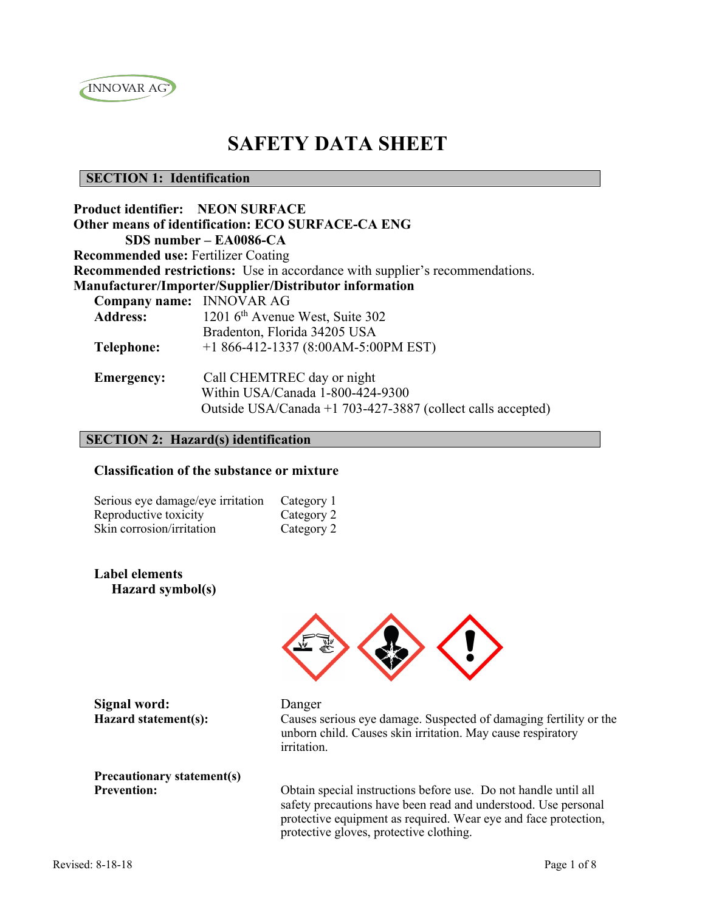

## **SAFETY DATA SHEET**

#### **SECTION 1: Identification**

| <b>Product identifier: NEON SURFACE</b>    |                                                                                                                               |
|--------------------------------------------|-------------------------------------------------------------------------------------------------------------------------------|
|                                            | Other means of identification: ECO SURFACE-CA ENG                                                                             |
|                                            | $SDS$ number – EA0086-CA                                                                                                      |
| <b>Recommended use: Fertilizer Coating</b> |                                                                                                                               |
|                                            | <b>Recommended restrictions:</b> Use in accordance with supplier's recommendations.                                           |
|                                            | Manufacturer/Importer/Supplier/Distributor information                                                                        |
| Company name: INNOVAR AG                   |                                                                                                                               |
| <b>Address:</b>                            | 1201 6 <sup>th</sup> Avenue West, Suite 302                                                                                   |
|                                            | Bradenton, Florida 34205 USA                                                                                                  |
| <b>Telephone:</b>                          | +1 866-412-1337 (8:00AM-5:00PM EST)                                                                                           |
| <b>Emergency:</b>                          | Call CHEMTREC day or night<br>Within USA/Canada 1-800-424-9300<br>Outside USA/Canada +1 703-427-3887 (collect calls accepted) |

### **SECTION 2: Hazard(s) identification**

#### **Classification of the substance or mixture**

| Serious eye damage/eye irritation | Category 1 |
|-----------------------------------|------------|
| Reproductive toxicity             | Category 2 |
| Skin corrosion/irritation         | Category 2 |

**Label elements Hazard symbol(s)**



**Signal word:** Danger

**Hazard statement(s):** Causes serious eye damage. Suspected of damaging fertility or the unborn child. Causes skin irritation. May cause respiratory irritation.

**Precautionary statement(s)** 

**Prevention:** Obtain special instructions before use. Do not handle until all safety precautions have been read and understood. Use personal protective equipment as required. Wear eye and face protection, protective gloves, protective clothing.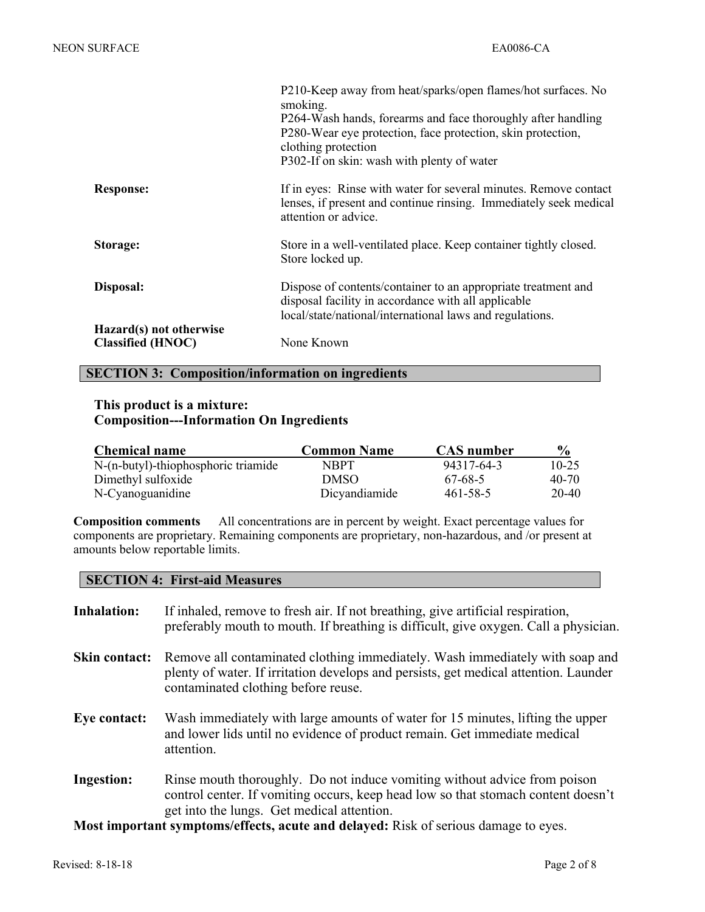|                                                     | P210-Keep away from heat/sparks/open flames/hot surfaces. No<br>smoking.<br>P264-Wash hands, forearms and face thoroughly after handling<br>P280-Wear eye protection, face protection, skin protection,<br>clothing protection<br>P302-If on skin: wash with plenty of water |
|-----------------------------------------------------|------------------------------------------------------------------------------------------------------------------------------------------------------------------------------------------------------------------------------------------------------------------------------|
| <b>Response:</b>                                    | If in eyes: Rinse with water for several minutes. Remove contact<br>lenses, if present and continue rinsing. Immediately seek medical<br>attention or advice.                                                                                                                |
| Storage:                                            | Store in a well-ventilated place. Keep container tightly closed.<br>Store locked up.                                                                                                                                                                                         |
| Disposal:                                           | Dispose of contents/container to an appropriate treatment and<br>disposal facility in accordance with all applicable<br>local/state/national/international laws and regulations.                                                                                             |
| Hazard(s) not otherwise<br><b>Classified (HNOC)</b> | None Known                                                                                                                                                                                                                                                                   |

#### **SECTION 3: Composition/information on ingredients**

#### **This product is a mixture: Composition---Information On Ingredients**

| <b>Chemical name</b>                | <b>Common Name</b> | <b>CAS</b> number | $\frac{6}{9}$ |
|-------------------------------------|--------------------|-------------------|---------------|
| N-(n-butyl)-thiophosphoric triamide | <b>NBPT</b>        | 94317-64-3        | $10 - 25$     |
| Dimethyl sulfoxide                  | <b>DMSO</b>        | 67-68-5           | $40 - 70$     |
| N-Cyanoguanidine                    | Dicyandiamide      | 461-58-5          | 20-40         |

**Composition comments** All concentrations are in percent by weight. Exact percentage values for components are proprietary. Remaining components are proprietary, non-hazardous, and /or present at amounts below reportable limits.

#### **SECTION 4: First-aid Measures**

| <b>Inhalation:</b> | If inhaled, remove to fresh air. If not breathing, give artificial respiration,<br>preferably mouth to mouth. If breathing is difficult, give oxygen. Call a physician.                                      |
|--------------------|--------------------------------------------------------------------------------------------------------------------------------------------------------------------------------------------------------------|
| Skin contact:      | Remove all contaminated clothing immediately. Wash immediately with soap and<br>plenty of water. If irritation develops and persists, get medical attention. Launder<br>contaminated clothing before reuse.  |
| Eye contact:       | Wash immediately with large amounts of water for 15 minutes, lifting the upper<br>and lower lids until no evidence of product remain. Get immediate medical<br>attention.                                    |
| <b>Ingestion:</b>  | Rinse mouth thoroughly. Do not induce vomiting without advice from poison<br>control center. If vomiting occurs, keep head low so that stomach content doesn't<br>get into the lungs. Get medical attention. |

**Most important symptoms/effects, acute and delayed:** Risk of serious damage to eyes.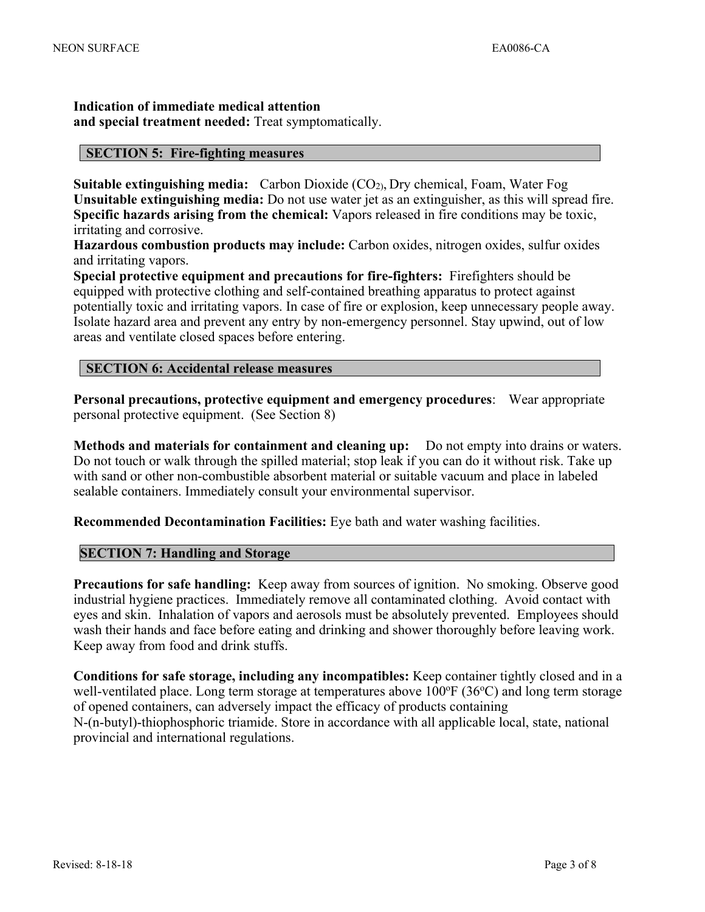**Indication of immediate medical attention and special treatment needed:** Treat symptomatically.

#### **SECTION 5: Fire-fighting measures**

**Suitable extinguishing media:** Carbon Dioxide (CO<sub>2)</sub>, Dry chemical, Foam, Water Fog **Unsuitable extinguishing media:** Do not use water jet as an extinguisher, as this will spread fire. **Specific hazards arising from the chemical:** Vapors released in fire conditions may be toxic, irritating and corrosive.

**Hazardous combustion products may include:** Carbon oxides, nitrogen oxides, sulfur oxides and irritating vapors.

**Special protective equipment and precautions for fire-fighters:** Firefighters should be equipped with protective clothing and self-contained breathing apparatus to protect against potentially toxic and irritating vapors. In case of fire or explosion, keep unnecessary people away. Isolate hazard area and prevent any entry by non-emergency personnel. Stay upwind, out of low areas and ventilate closed spaces before entering.

#### **SECTION 6: Accidental release measures**

**Personal precautions, protective equipment and emergency procedures**: Wear appropriate personal protective equipment. (See Section 8)

**Methods and materials for containment and cleaning up:** Do not empty into drains or waters. Do not touch or walk through the spilled material; stop leak if you can do it without risk. Take up with sand or other non-combustible absorbent material or suitable vacuum and place in labeled sealable containers. Immediately consult your environmental supervisor.

**Recommended Decontamination Facilities:** Eye bath and water washing facilities.

#### **SECTION 7: Handling and Storage**

**Precautions for safe handling:** Keep away from sources of ignition. No smoking. Observe good industrial hygiene practices. Immediately remove all contaminated clothing. Avoid contact with eyes and skin. Inhalation of vapors and aerosols must be absolutely prevented. Employees should wash their hands and face before eating and drinking and shower thoroughly before leaving work. Keep away from food and drink stuffs.

**Conditions for safe storage, including any incompatibles:** Keep container tightly closed and in a well-ventilated place. Long term storage at temperatures above  $100^{\circ}F(36^{\circ}C)$  and long term storage of opened containers, can adversely impact the efficacy of products containing N-(n-butyl)-thiophosphoric triamide. Store in accordance with all applicable local, state, national provincial and international regulations.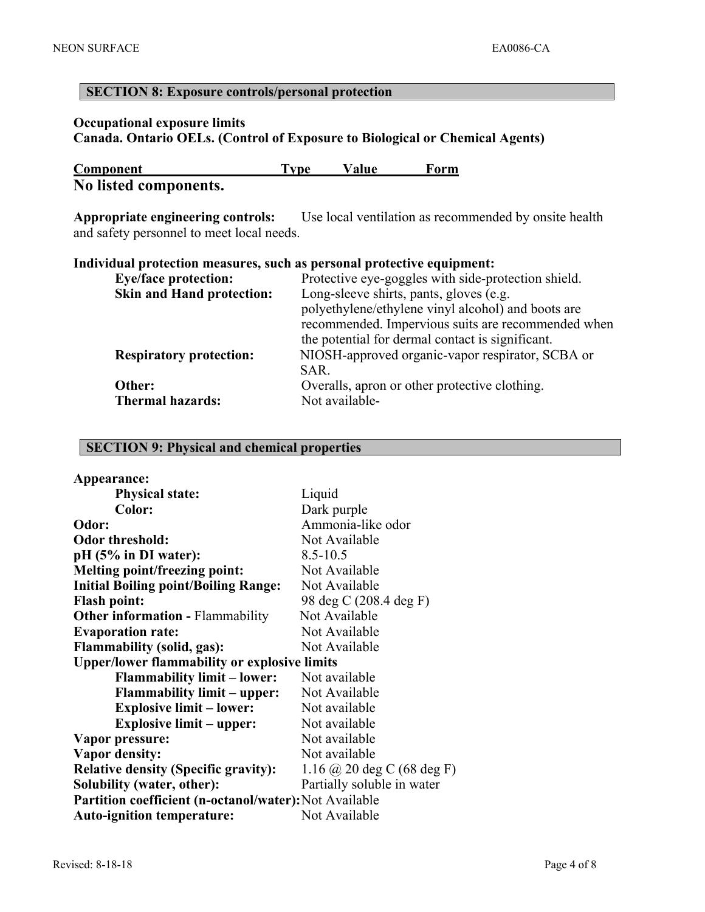# **Occupational exposure limits Canada. Ontario OELs. (Control of Exposure to Biological or Chemical Agents) Component Type Value Form No listed components. Appropriate engineering controls:** Use local ventilation as recommended by onsite health and safety personnel to meet local needs. **Individual protection measures, such as personal protective equipment: Eye/face protection:** Protective eye-goggles with side-protection shield.

| EVE/TACE DI OLECLION.            | Protective eye-goggles with side-protection sineral. |
|----------------------------------|------------------------------------------------------|
| <b>Skin and Hand protection:</b> | Long-sleeve shirts, pants, gloves (e.g.              |
|                                  | polyethylene/ethylene vinyl alcohol) and boots are   |
|                                  | recommended. Impervious suits are recommended when   |
|                                  | the potential for dermal contact is significant.     |
| <b>Respiratory protection:</b>   | NIOSH-approved organic-vapor respirator, SCBA or     |
|                                  | SAR.                                                 |
| Other:                           | Overalls, apron or other protective clothing.        |
| <b>Thermal hazards:</b>          | Not available-                                       |
|                                  |                                                      |

#### **SECTION 9: Physical and chemical properties**

**SECTION 8: Exposure controls/personal protection**

| Appearance:                                            |                            |
|--------------------------------------------------------|----------------------------|
| <b>Physical state:</b>                                 | Liquid                     |
| Color:                                                 | Dark purple                |
| Odor:                                                  | Ammonia-like odor          |
| <b>Odor threshold:</b>                                 | Not Available              |
| pH (5% in DI water):                                   | $8.5 - 10.5$               |
| <b>Melting point/freezing point:</b>                   | Not Available              |
| <b>Initial Boiling point/Boiling Range:</b>            | Not Available              |
| <b>Flash point:</b>                                    | 98 deg C (208.4 deg F)     |
| <b>Other information - Flammability</b>                | Not Available              |
| <b>Evaporation rate:</b>                               | Not Available              |
| <b>Flammability (solid, gas):</b>                      | Not Available              |
| <b>Upper/lower flammability or explosive limits</b>    |                            |
| <b>Flammability limit – lower:</b>                     | Not available              |
| <b>Flammability limit – upper:</b>                     | Not Available              |
| <b>Explosive limit – lower:</b>                        | Not available              |
| <b>Explosive limit – upper:</b>                        | Not available              |
| Vapor pressure:                                        | Not available              |
| <b>Vapor density:</b>                                  | Not available              |
| <b>Relative density (Specific gravity):</b>            | 1.16 @ 20 deg C (68 deg F) |
| Solubility (water, other):                             | Partially soluble in water |
| Partition coefficient (n-octanol/water): Not Available |                            |
| <b>Auto-ignition temperature:</b>                      | Not Available              |
|                                                        |                            |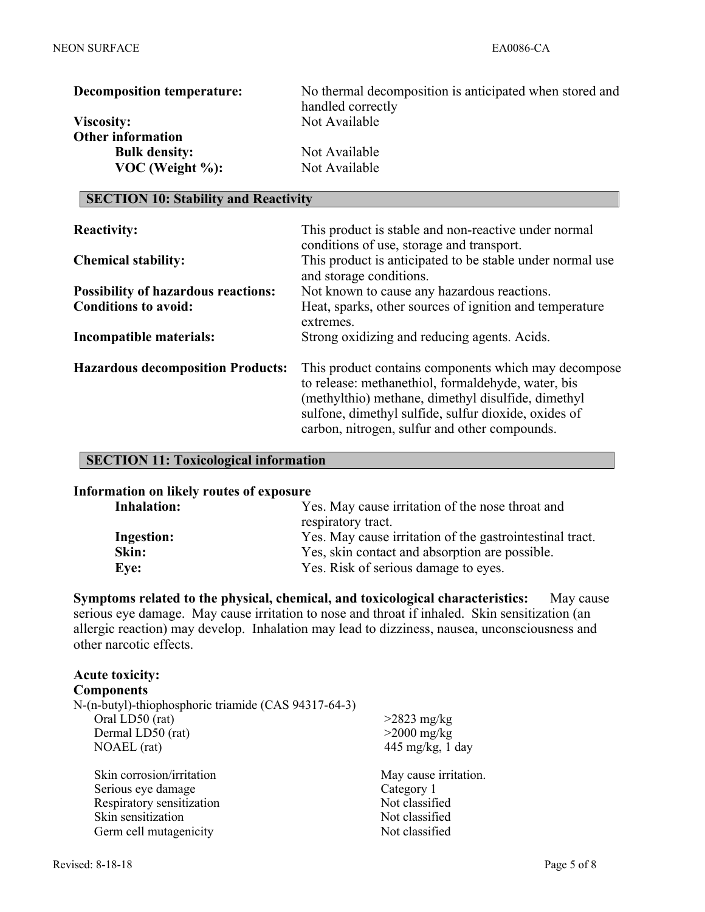| <b>Decomposition temperature:</b> | No thermal decomposition is anticipated when stored and |
|-----------------------------------|---------------------------------------------------------|
|                                   | handled correctly                                       |
| <b>Viscosity:</b>                 | Not Available                                           |
| <b>Other information</b>          |                                                         |
| <b>Bulk density:</b>              | Not Available                                           |
| $VOC$ (Weight $\%$ ):             | Not Available                                           |

#### **SECTION 10: Stability and Reactivity**

| <b>Reactivity:</b>                         | This product is stable and non-reactive under normal<br>conditions of use, storage and transport.                                                                                                                                                                         |
|--------------------------------------------|---------------------------------------------------------------------------------------------------------------------------------------------------------------------------------------------------------------------------------------------------------------------------|
| <b>Chemical stability:</b>                 | This product is anticipated to be stable under normal use<br>and storage conditions.                                                                                                                                                                                      |
| <b>Possibility of hazardous reactions:</b> | Not known to cause any hazardous reactions.                                                                                                                                                                                                                               |
| <b>Conditions to avoid:</b>                | Heat, sparks, other sources of ignition and temperature<br>extremes.                                                                                                                                                                                                      |
| Incompatible materials:                    | Strong oxidizing and reducing agents. Acids.                                                                                                                                                                                                                              |
| <b>Hazardous decomposition Products:</b>   | This product contains components which may decompose<br>to release: methanethiol, formaldehyde, water, bis<br>(methylthio) methane, dimethyl disulfide, dimethyl<br>sulfone, dimethyl sulfide, sulfur dioxide, oxides of<br>carbon, nitrogen, sulfur and other compounds. |

#### **SECTION 11: Toxicological information**

#### **Information on likely routes of exposure**

| <b>Inhalation:</b> | Yes. May cause irritation of the nose throat and         |
|--------------------|----------------------------------------------------------|
|                    | respiratory tract.                                       |
| <b>Ingestion:</b>  | Yes. May cause irritation of the gastrointestinal tract. |
| Skin:              | Yes, skin contact and absorption are possible.           |
| Eye:               | Yes. Risk of serious damage to eyes.                     |

**Symptoms related to the physical, chemical, and toxicological characteristics:** May cause serious eye damage. May cause irritation to nose and throat if inhaled. Skin sensitization (an allergic reaction) may develop. Inhalation may lead to dizziness, nausea, unconsciousness and other narcotic effects.

## **Acute toxicity:**

| <b>Components</b>                                    |                       |
|------------------------------------------------------|-----------------------|
| N-(n-butyl)-thiophosphoric triamide (CAS 94317-64-3) |                       |
| Oral LD50 (rat)                                      | $>2823$ mg/kg         |
| Dermal LD50 (rat)                                    | $>2000$ mg/kg         |
| NOAEL (rat)                                          | 445 mg/kg, 1 day      |
| Skin corrosion/irritation                            | May cause irritation. |
| Serious eye damage                                   | Category 1            |
| Respiratory sensitization                            | Not classified        |
| Skin sensitization                                   | Not classified        |
| Germ cell mutagenicity                               | Not classified        |
|                                                      |                       |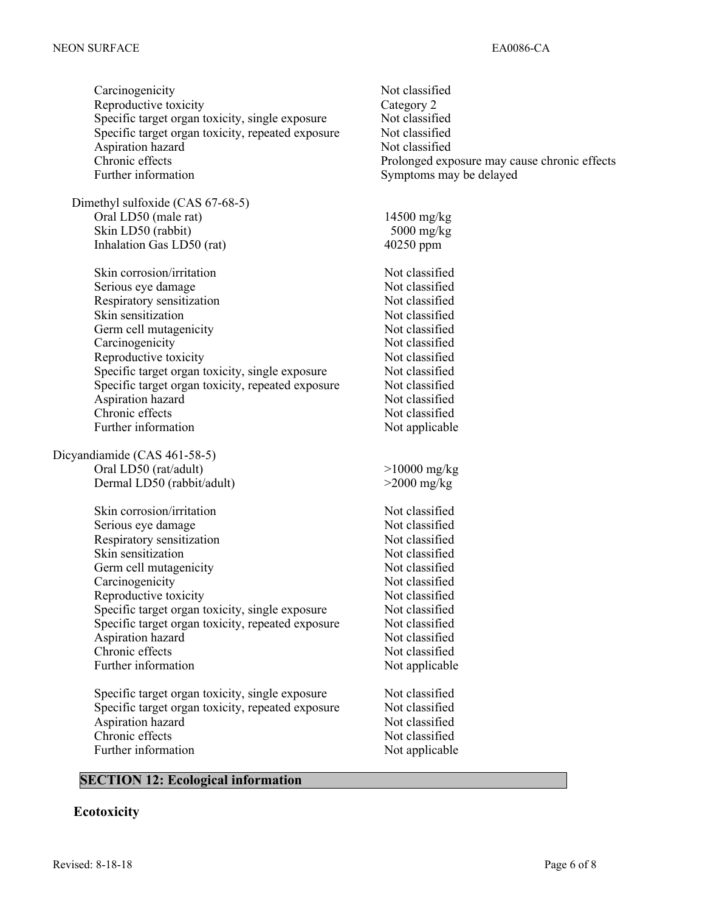Carcinogenicity Not classified Reproductive toxicity Category 2 Specific target organ toxicity, single exposure Not classified Specific target organ toxicity, repeated exposure Not classified Aspiration hazard Not classified Prolonged exposure may cause chronic effects Further information Symptoms may be delayed Dimethyl sulfoxide (CAS 67-68-5) Oral LD50 (male rat) 14500 mg/kg Skin LD50 (rabbit) 5000 mg/kg Inhalation Gas LD50 (rat) 40250 ppm Skin corrosion/irritation Not classified Serious eye damage Not classified Respiratory sensitization Not classified Skin sensitization Not classified Germ cell mutagenicity Not classified Carcinogenicity Not classified Reproductive toxicity Not classified Specific target organ toxicity, single exposure Not classified Specific target organ toxicity, repeated exposure Not classified Aspiration hazard Not classified Chronic effects Not classified Further information Not applicable Dicyandiamide (CAS 461-58-5) Oral LD50 (rat/adult) >10000 mg/kg Dermal LD50 (rabbit/adult) >2000 mg/kg Skin corrosion/irritation Not classified Serious eye damage Not classified Respiratory sensitization Not classified Skin sensitization Not classified Germ cell mutagenicity Not classified Carcinogenicity Not classified Reproductive toxicity Not classified Specific target organ toxicity, single exposure Not classified Specific target organ toxicity, repeated exposure Not classified Aspiration hazard Not classified Chronic effects Not classified Further information Not applicable Specific target organ toxicity, single exposure Not classified Specific target organ toxicity, repeated exposure Not classified Aspiration hazard Not classified Chronic effects Not classified Further information Not applicable

#### **SECTION 12: Ecological information**

#### **Ecotoxicity**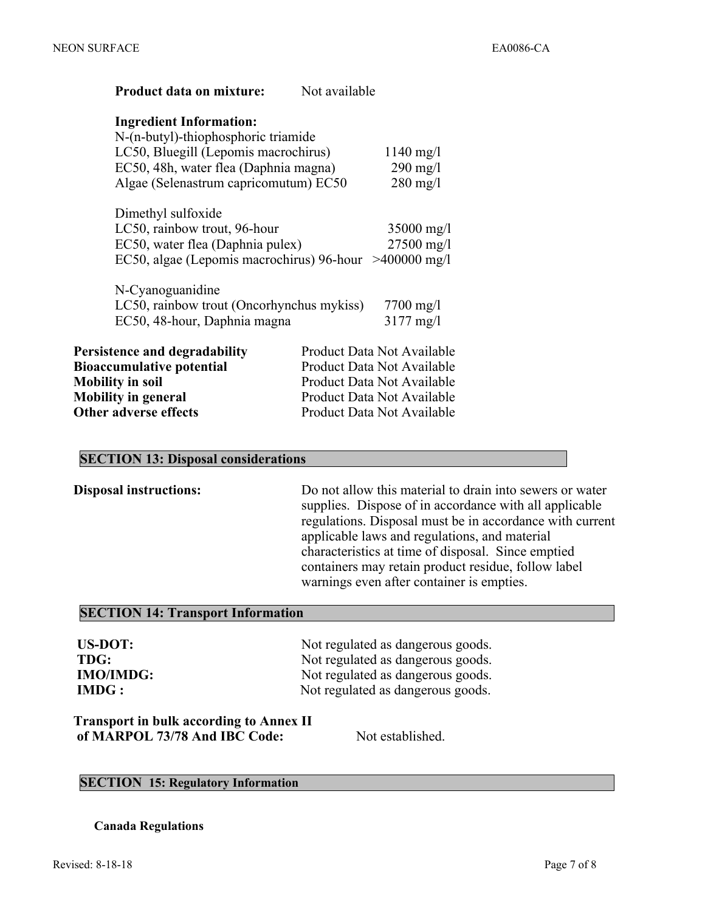| <b>Product data on mixture:</b>                                                                                                     | Not available                                                  |
|-------------------------------------------------------------------------------------------------------------------------------------|----------------------------------------------------------------|
| <b>Ingredient Information:</b><br>N-(n-butyl)-thiophosphoric triamide                                                               |                                                                |
| LC50, Bluegill (Lepomis macrochirus)<br>EC50, 48h, water flea (Daphnia magna)<br>Algae (Selenastrum capricomutum) EC50              | $1140 \text{ mg}/1$<br>$290$ mg/l<br>$280$ mg/l                |
| Dimethyl sulfoxide<br>LC50, rainbow trout, 96-hour<br>EC50, water flea (Daphnia pulex)<br>EC50, algae (Lepomis macrochirus) 96-hour | $35000 \text{ mg}/1$<br>$27500 \text{ mg}/1$<br>$>400000$ mg/l |
| N-Cyanoguanidine                                                                                                                    |                                                                |
| LC50, rainbow trout (Oncorhynchus mykiss)                                                                                           | $7700 \text{ mg}/1$                                            |
| EC50, 48-hour, Daphnia magna                                                                                                        | $3177 \text{ mg}/1$                                            |
| Persistence and degradability                                                                                                       | Product Data Not Available                                     |
| <b>Bioaccumulative potential</b>                                                                                                    | Product Data Not Available                                     |
| <b>Mobility in soil</b>                                                                                                             | Product Data Not Available                                     |
| <b>Mobility in general</b>                                                                                                          | Product Data Not Available                                     |
| <b>Other adverse effects</b>                                                                                                        | Product Data Not Available                                     |

#### **SECTION 13: Disposal considerations**

**Disposal instructions:** Do not allow this material to drain into sewers or water supplies. Dispose of in accordance with all applicable regulations. Disposal must be in accordance with current applicable laws and regulations, and material characteristics at time of disposal. Since emptied containers may retain product residue, follow label warnings even after container is empties.

#### **SECTION 14: Transport Information**

| US-DOT:   |
|-----------|
| TDG:      |
| IMO/IMDG: |
| IMDG :    |

Not regulated as dangerous goods. Not regulated as dangerous goods. Not regulated as dangerous goods. Not regulated as dangerous goods.

 **Transport in bulk according to Annex II**  of MARPOL 73/78 And IBC Code: Not established.

#### **SECTION 15: Regulatory Information**

**Canada Regulations**